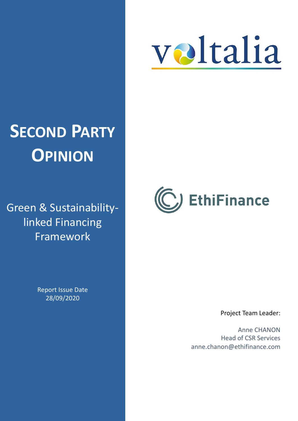

# **SECOND PARTY OPINION**

Green & Sustainabilitylinked Financing Framework

> Report Issue Date 28/09/2020



Project Team Leader:

Anne CHANON Head of CSR Services anne.chanon@ethifinance.com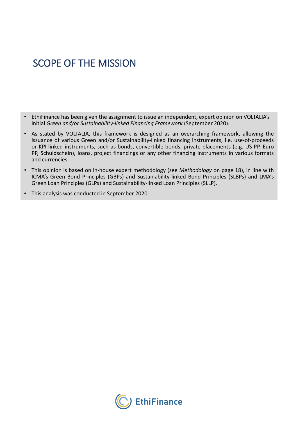# SCOPE OF THE MISSION

- EthiFinance has been given the assignment to issue an independent, expert opinion on VOLTALIA's initial *Green and/or Sustainability-linked Financing Framework* (September 2020).
- As stated by VOLTALIA, this framework is designed as an overarching framework, allowing the issuance of various Green and/or Sustainability-linked financing instruments, i.e. use-of-proceeds or KPI-linked instruments, such as bonds, convertible bonds, private placements (e.g. US PP, Euro PP, Schuldschein), loans, project financings or any other financing instruments in various formats and currencies.
- This opinion is based on in-house expert methodology (see *Methodology* on page 18), in line with ICMA's Green Bond Principles (GBPs) and Sustainability-linked Bond Principles (SLBPs) and LMA's Green Loan Principles (GLPs) and Sustainability-linked Loan Principles (SLLP).
- This analysis was conducted in September 2020.

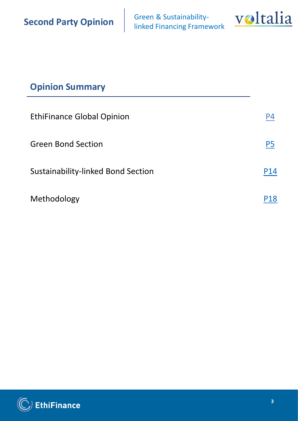Green & Sustainability-<br>linked Financing Framework



# **Opinion Summary**

| <b>EthiFinance Global Opinion</b>  | P4             |
|------------------------------------|----------------|
| <b>Green Bond Section</b>          | P <sub>5</sub> |
| Sustainability-linked Bond Section | P14            |
| Methodology                        | P18            |

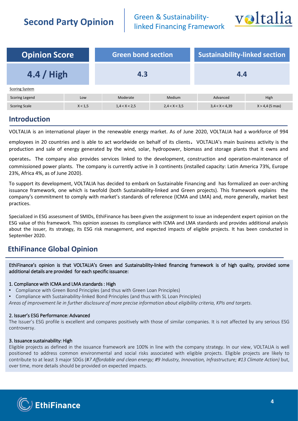Green & Sustainability-<br>linked Financing Framework



<span id="page-3-0"></span>

| <b>Opinion Score</b><br><b>Green bond section</b> |         |               | <b>Sustainability-linked section</b> |                |                   |
|---------------------------------------------------|---------|---------------|--------------------------------------|----------------|-------------------|
| $4.4 /$ High                                      |         | 4.3           |                                      | 4.4            |                   |
| <b>Scoring System</b>                             |         |               |                                      |                |                   |
| <b>Scoring Legend</b>                             | Low     | Moderate      | Medium                               | Advanced       | High              |
| <b>Scoring Scale</b>                              | X < 1.5 | 1,4 < X < 2,5 | 2,4 < X < 3,5                        | 3,4 < X < 4,39 | $X > 4,4$ (5 max) |
|                                                   |         |               |                                      |                |                   |

### **Introduction**

VOLTALIA is an international player in the renewable energy market. As of June 2020, VOLTALIA had a workforce of 994

employees in <sup>20</sup> countries and is able to act worldwide on behalf of its clients. VOLTALIA's main business activity is the production and sale of energy generated by the wind, solar, hydropower, biomass and storage plants that it owns and

operates. The company also provides services linked to the development, construction and operation-maintenance of commissioned power plants. The company is currently active in 3 continents (installed capacity: Latin America 73%, Europe 23%, Africa 4%, as of June 2020).

To support its development, VOLTALIA has decided to embark on Sustainable Financing and has formalized an over-arching issuance framework, one which is twofold (both Sustainability-linked and Green projects). This framework explains the company's commitment to comply with market's standards of reference (ICMA and LMA) and, more generally, market best practices.

Specialized in ESG assessment of SMIDs, EthiFinance has been given the assignment to issue an independent expert opinion on the ESG value of this framework. This opinion assesses its compliance with ICMA and LMA standards and provides additional analysis about the issuer, its strategy, its ESG risk management, and expected impacts of eligible projects. It has been conducted in September 2020.

### **EthiFinance Global Opinion**

EthiFinance's opinion is that VOLTALIA's Green and Sustainability-linked financing framework is of high quality, provided some additional details are provided for each specific issuance:

### 1. Compliance with ICMA and LMA standards: High

- Compliance with Green Bond Principles (and thus with Green Loan Principles)
- Compliance with Sustainability-linked Bond Principles (and thus with SL Loan Principles)

Areas of improvement lie in further disclosure of more precise information about eligibility criteria, KPIs and targets.

### 2. Issuer's ESG Performance: Advanced

The Issuer's ESG profile is excellent and compares positively with those of similar companies. It is not affected by any serious ESG controversy.

### 3. Issuance sustainability: High

Eligible projects as defined in the issuance framework are 100% in line with the company strategy. In our view, VOLTALIA is well positioned to address common environmental and social risks associated with eligible projects. Eligible projects are likely to contribute to at least 3 major SDGs (#*7 Affordable and clean energy; #9 Industry, Innovation, Infrastructure; #13 Climate Action)* but, over time, more details should be provided on expected impacts.

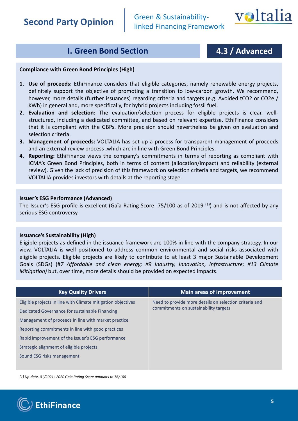Green & Sustainability-<br>linked Financing Framework



# **I. Green Bond Section 1.4.3 / Advanced**

### <span id="page-4-0"></span>**Compliance with Green Bond Principles (High)**

- **1. Use of proceeds:** EthiFinance considers that eligible categories, namely renewable energy projects, definitely support the objective of promoting a transition to low-carbon growth. We recommend, however, more details (further issuances) regarding criteria and targets (e.g. Avoided tCO2 or CO2e / KWh) in general and, more specifically, for hybrid projects including fossil fuel.
- **2. Evaluation and selection:** The evaluation/selection process for eligible projects is clear, wellstructured, including a dedicated committee, and based on relevant expertise. EthiFinance considers that it is compliant with the GBPs. More precision should nevertheless be given on evaluation and selection criteria.
- **3. Management of proceeds:** VOLTALIA has set up a process for transparent management of proceeds and an external review process ,which are in line with Green Bond Principles.
- **4. Reporting:** EthiFinance views the company's commitments in terms of reporting as compliant with ICMA's Green Bond Principles, both in terms of content (allocation/impact) and reliability (external review). Given the lack of precision of this framework on selection criteria and targets, we recommend VOLTALIA provides investors with details at the reporting stage.

### **Issuer's ESG Performance (Advanced)**

The Issuer's ESG profile is excellent (Gaïa Rating Score: 75/100 as of 2019 <sup>(1)</sup>) and is not affected by any serious ESG controversy.

### **Issuance's Sustainability (High)**

Eligible projects as defined in the issuance framework are 100% in line with the company strategy. In our view, VOLTALIA is well positioned to address common environmental and social risks associated with eligible projects. Eligible projects are likely to contribute to at least 3 major Sustainable Development Goals (SDGs) (#*7 Affordable and clean energy; #9 Industry, Innovation, Infrastructure; #13 Climate Mitigation)* but, over time, more details should be provided on expected impacts.

| <b>Key Quality Drivers</b>                                   | <b>Main areas of improvement</b>                       |
|--------------------------------------------------------------|--------------------------------------------------------|
| Eligible projects in line with Climate mitigation objectives | Need to provide more details on selection criteria and |
| Dedicated Governance for sustainable Financing               | commitments on sustainability targets                  |
| Management of proceeds in line with market practice          |                                                        |
| Reporting commitments in line with good practices            |                                                        |
| Rapid improvement of the issuer's ESG performance            |                                                        |
| Strategic alignment of eligible projects                     |                                                        |
| Sound ESG risks management                                   |                                                        |
|                                                              |                                                        |

*(1) Up-date, 01/2021 : 2020 Gaïa Rating Score amounts to 76/100* 

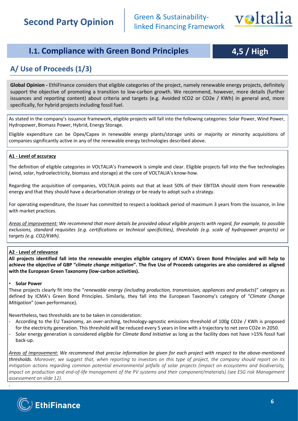

# **I.1. Compliance with Green Bond Principles 4,5 / High**

### **A/ Use of Proceeds (1/3)**

**Global Opinion -** EthiFinance considers that eligible categories of the project, namely renewable energy projects, definitely support the objective of promoting a transition to low-carbon growth. We recommend, however, more details (further issuances and reporting content) about criteria and targets (e.g. Avoided tCO2 or CO2e / KWh) in general and, more specifically, for hybrid projects including fossil fuel.

As stated in the company's issuance framework, eligible projects will fall into the following categories: Solar Power, Wind Power, Hydropower, Biomass Power, Hybrid, Energy Storage.

Eligible expenditure can be Opex/Capex in renewable energy plants/storage units or majority or minority acquisitions of companies significantly active in any of the renewable energy technologies described above.

### **A1 - Level of accuracy**

The definition of eligible categories in VOLTALIA's Framework is simple and clear. Eligible projects fall into the five technologies (wind, solar, hydroelectricity, biomass and storage) at the core of VOLTALIA's know-how.

Regarding the acquisition of companies, VOLTALIA points out that at least 50% of their EBITDA should stem from renewable energy and that they should have a decarbonation strategy or be ready to adopt such a strategy.

For operating expenditure, the Issuer has committed to respect a lookback period of maximum 3 years from the issuance, in line with market practices.

Areas of improvement: We recommend that more details be provided about eligible projects with regard, for example, to possible exclusions, standard requisites (e.g. certifications or technical specificities), thresholds (e.g. scale of hydropower projects) or *targets (e.g. CO2/KWh).*

### **A2 - Level of relevance**

All projects identified fall into the renewable energies eligible category of ICMA's Green Bond Principles and will help to achieve the objective of GBP "climate change mitigation". The five Use of Proceeds categories are also considered as aligned **with the European Green Taxonomy (low-carbon activities).**

### • **Solar Power**

These projects clearly fit into the "*renewable energy (including production, transmission, appliances and products*)" category as defined by ICMA's Green Bond Principles. Similarly, they fall into the European Taxonomy's category of "*Climate Change Mitigation*" (own performance).

Nevertheless, two thresholds are to be taken in consideration:

- According to the EU Taxonomy, an over-arching, technology-agnostic emissions threshold of 100g CO2e / KWh is proposed for the electricity generation. This threshold will be reduced every 5 years in line with a trajectory to net zero CO2e in 2050.
- Solar energy generation is considered eligible for *Climate Bond Initiative* as long as the facility does not have >15% fossil fuel back-up.

Areas of improvement: We recommend that precise information be given for each project with respect to the above-mentioned thresholds. Moreover, we suggest that, when reporting to investors on this type of project, the company should report on its mitigation actions regarding common potential environmental pitfalls of solar projects (impact on ecosystems and biodiversity, impact on production and end-of-life management of the PV systems and their component/materials) (see ESG risk Management *assessement on slide 12).*



*.*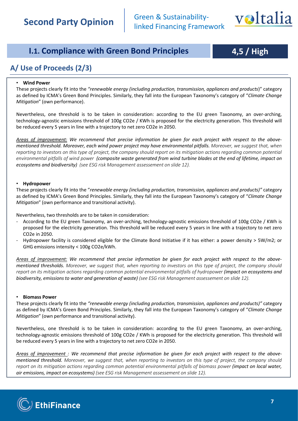

# **I.1. Compliance with Green Bond Principles 4,5 / High**

### **A/ Use of Proceeds (2/3)**

### • **Wind Power**

These projects clearly fit into the *"renewable energy (including production, transmission, appliances and products*)" category as defined by ICMA's Green Bond Principles. Similarly, they fall into the European Taxonomy's category of "*Climate Change Mitigation*" (own performance).

Nevertheless, one threshold is to be taken in consideration: according to the EU green Taxonomy, an over-arching, technology-agnostic emissions threshold of 100g CO2e / KWh is proposed for the electricity generation. This threshold will be reduced every 5 years in line with a trajectory to net zero CO2e in 2050.

Areas of improvement: We recommend that precise information be given for each project with respect to the abovementioned threshold. Moreover, each wind power project may have environmental pitfalls. Moreover, we suggest that, when reporting to investors on this type of project, the company should report on its mitigation actions regarding common potential environmental pitfalls of wind power (composite waste generated from wind turbine blades at the end of lifetime, impact on *ecosystems and biodiversity) (see ESG risk Management assessement on slide 12).*

### • **Hydropower**

These projects clearly fit into the "*renewable energy (including production, transmission, appliances and products)"* category as defined by ICMA's Green Bond Principles. Similarly, they fall into the European Taxonomy's category of "*Climate Change Mitigation*" (own performance and transitional activity).

Nevertheless, two thresholds are to be taken in consideration:

- According to the EU green Taxonomy, an over-arching, technology-agnostic emissions threshold of 100g CO2e / KWh is proposed for the electricity generation. This threshold will be reduced every 5 years in line with a trajectory to net zero CO2e in 2050.
- Hydropower facility is considered eligible for the Climate Bond Initiative if it has either: a power density > 5W/m2; or GHG emissions intensity < 100g CO2e/kWh.

Areas of improvement: We recommend that precise information be given for each project with respect to the abovementioned thresholds. Moreover, we suggest that, when reporting to investors on this type of project, the company should report on its mitigation actions regarding common potential environmental pitfalls of hydropower (impact on ecosystems and *biodiversity, emissions to water and generation of waste) (see ESG risk Management assessement on slide 12).*

### • **Biomass Power**

These projects clearly fit into the *"renewable energy (including production, transmission, appliances and products)"* category as defined by ICMA's Green Bond Principles. Similarly, they fall into the European Taxonomy's category of "*Climate Change Mitigation*" (own performance and transitional activity).

Nevertheless, one threshold is to be taken in consideration: according to the EU green Taxonomy, an over-arching, technology-agnostic emissions threshold of 100g CO2e / KWh is proposed for the electricity generation. This threshold will be reduced every 5 years in line with a trajectory to net zero CO2e in 2050.

Areas of improvement : We recommend that precise information be given for each project with respect to the abovementioned threshold. Moreover, we suggest that, when reporting to investors on this type of project, the company should report on its mitigation actions regarding common potential environmental pitfalls of biomass power (impact on local water, *air emissions, impact on ecosystems) (see ESG risk Management assessement on slide 12).*

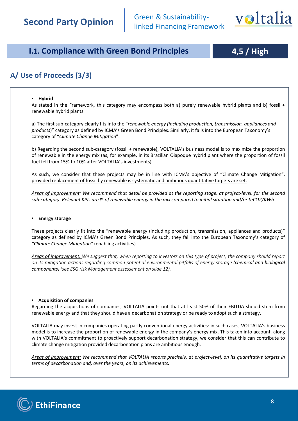

# **I.1. Compliance with Green Bond Principles 4,5 / High**

## **A/ Use of Proceeds (3/3)**

### • **Hybrid**

As stated in the Framework, this category may encompass both a) purely renewable hybrid plants and b) fossil + renewable hybrid plants.

a) The first sub-category clearly fits into the "*renewable energy (including production, transmission, appliances and products*)" category as defined by ICMA's Green Bond Principles. Similarly, it falls into the European Taxonomy's category of "*Climate Change Mitigation*".

b) Regarding the second sub-category (fossil + renewable), VOLTALIA's business model is to maximize the proportion of renewable in the energy mix (as, for example, in its Brazilian Oiapoque hybrid plant where the proportion of fossil fuel fell from 15% to 10% after VOLTALIA's investments).

As such, we consider that these projects may be in line with ICMA's objective of "Climate Change Mitigation", provided replacement of fossil by renewable is systematic and ambitious quantitative targets are set.

Areas of improvement: We recommend that detail be provided at the reporting stage, at project-level, for the second sub-category. Relevant KPIs are % of renewable energy in the mix compared to initial situation and/or teCO2/KWh.

### • **Energy storage**

These projects clearly fit into the "renewable energy (including production, transmission, appliances and products)" category as defined by ICMA's Green Bond Principles. As such, they fall into the European Taxonomy's category of *"Climate Change Mitigation"* (enabling activities).

Areas of improvement: We suggest that, when reporting to investors on this type of project, the company should report *on its mitigation actions regarding common potential environmental pitfalls of energy storage (chemical and biological components) (see ESG risk Management assessement on slide 12).*

### • **Acquisition of companies**

Regarding the acquisitions of companies, VOLTALIA points out that at least 50% of their EBITDA should stem from renewable energy and that they should have a decarbonation strategy or be ready to adopt such a strategy.

VOLTALIA may invest in companies operating partly conventional energy activities: in such cases, VOLTALIA's business model is to increase the proportion of renewable energy in the company's energy mix. This taken into account, along with VOLTALIA's commitment to proactively support decarbonation strategy, we consider that this can contribute to climate change mitigation provided decarbonation plans are ambitious enough.

Areas of improvement: We recommend that VOLTALIA reports precisely, at project-level, on its quantitative targets in *terms of decarbonation and, over the years, on its achievements.*

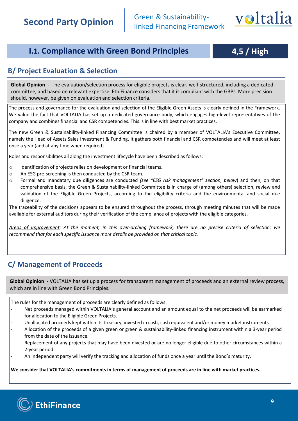

# **I.1. Compliance with Green Bond Principles 4,5 / High**

### **B/ Project Evaluation & Selection**

**Global Opinion -** The evaluation/selection process for eligible projects is clear, well-structured, including a dedicated committee, and based on relevant expertise. EthiFinance considers that it is compliant with the GBPs. More precision should, however, be given on evaluation and selection criteria.

The process and governance for the evaluation and selection of the Eligible Green Assets is clearly defined in the Framework. We value the fact that VOLTALIA has set up a dedicated governance body, which engages high-level representatives of the company and combines financial and CSR competencies. This is in line with best market practices.

The new Green & Sustainability-linked Financing Committee is chaired by a member of VOLTALIA's Executive Committee, namely the Head of Assets Sales Investment & Funding. It gathers both financial and CSR competencies and will meet at least once a year (and at any time when required).

Roles and responsibilities all along the investment lifecycle have been described as follows:

- o Identification of projects relies on development or financial teams.
- o An ESG pre-screening is then conducted by the CSR team.
- o Formal and mandatary due diligences are conducted *(see "ESG risk management" section, below*) and then, on that comprehensive basis, the Green & Sustainability-linked Committee is in charge of (among others) selection, review and validation of the Eligible Green Projects, according to the eligibility criteria and the environmental and social due diligence.

The traceability of the decisions appears to be ensured throughout the process, through meeting minutes that will be made available for external auditors during their verification of the compliance of projects with the eligible categories.

Areas of improvement: At the moment, in this over-arching framework, there are no precise criteria of selection: we *recommend that for each specific issuance more details be provided on that critical topic.*

### **C/ Management of Proceeds**

**Global Opinion -** VOLTALIA has set up a process for transparent management of proceeds and an external review process, which are in line with Green Bond Principles.

The rules for the management of proceeds are clearly defined as follows:

- Net proceeds managed within VOLTALIA's general account and an amount equal to the net proceeds will be earmarked for allocation to the Eligible Green Projects.
- Unallocated proceeds kept within its treasury, invested in cash, cash equivalent and/or money market instruments.
- Allocation of the proceeds of a given green or green & sustainability-linked financing instrument within a 3-year period from the date of the issuance.
- Replacement of any projects that may have been divested or are no longer eligible due to other circumstances within a 2-year period.
- An independent party will verify the tracking and allocation of funds once a year until the Bond's maturity.

**We consider that VOLTALIA's commitments in terms of management of proceeds are in line with market practices.**

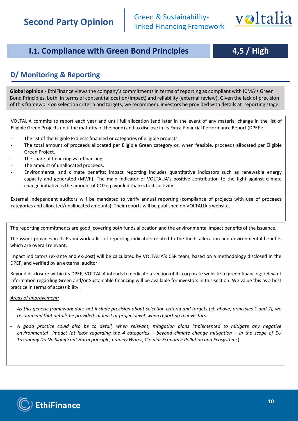

# **I.1. Compliance with Green Bond Principles 4,5 / High**

# **D/ Monitoring & Reporting**

**Global opinion** - EthiFinance views the company's commitments in terms of reporting as compliant with ICMA's Green Bond Principles, both in terms of content (allocation/impact) and reliability (external review). Given the lack of precision of this framework on selection criteria and targets, we recommend investors be provided with details at reporting stage.

VOLTALIA commits to report each year and until full allocation (and later in the event of any material change in the list of Eligible Green Projects until the maturity of the bond) and to disclose in its Extra-Financial Performance Report (DPEF):

- The list of the Eligible Projects financed or categories of eligible projects.
- The total amount of proceeds allocated per Eligible Green category or, when feasible, proceeds allocated per Eligible Green Project.
- The share of financing vs refinancing.
- The amount of unallocated proceeds.
- Environmental and climate benefits: impact reporting includes quantitative indicators such as renewable energy capacity and generated (MWh). The main indicator of VOLTALIA's positive contribution to the fight against climate change initiative is the amount of CO2eq avoided thanks to its activity.

External independent auditors will be mandated to verify annual reporting (compliance of projects with use of proceeds categories and allocated/unallocated amounts). Their reports will be published on VOLTALIA's website.

The reporting commitments are good, covering both funds allocation and the environmental impact benefits of the issuance.

The issuer provides in its Framework a list of reporting indicators related to the funds allocation and environmental benefits which are overall relevant.

Impact indicators (ex-ante and ex-post) will be calculated by VOLTALIA's CSR team, based on a methodology disclosed in the DPEF, and verified by an external auditor.

Beyond disclosure within its DPEF, VOLTALIA intends to dedicate a section of its corporate website to green financing: relevant information regarding Green and/or Sustainable financing will be available for investors in this section. We value this as a best practice in terms of accessibility.

### *Areas of improvement:*

- As this generic framework does not include precision about selection criteria and targets (cf. above, principles 1 and 2), we *recommend that details be provided, at least at project level, when reporting to investors.*
- A good practice could also be to detail, when relevant, mitigation plans implemented to mitigate any negative environmental impact (at least regarding the 4 categories - beyond climate change mitigation - in the scope of EU *Taxonomy Do No Significant Harm principle, namely Water; Circular Economy; Pollution and Ecosystems*)

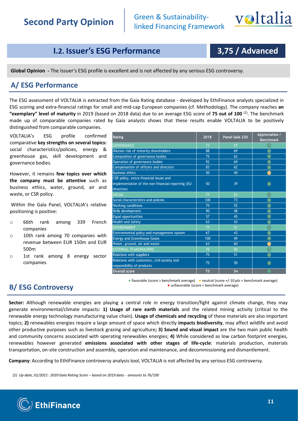

# **I.2. Issuer's ESG Performance**

# **3,75 / Advanced**

**Global Opinion -** The Issuer's ESG profile is excellent and is not affected by any serious ESG controversy.

### **A/ ESG Performance**

The ESG assessment of VOLTALIA is extracted from the Gaia Rating database - developed by EthiFinance analysts specialized in ESG scoring and extra-financial ratings for small and mid-cap European companies (cf. Methodology). The company reaches **an "exemplary" level of maturity** in 2019 (based on 2018 data) due to an average ESG score of **75 out of 100** (2) . The benchmark made up of comparable companies rated by Gaia analysts shows that these results enable VOLTALIA to be positively distinguished from comparable companies.

VOLTALIA's ESG profile confirmed comparative **key strengths on several topics:** social characteristics/policies, energy & greenhouse gas, skill development and governance bodies.

However, it remains **few topics over which the company must be attentive** such as business ethics, water, ground, air and waste, or CSR policy.

Within the Gaïa Panel, VOLTALIA's relative positioning is positive:

- o 66th rank among 339 French companies
- o 10th rank among 70 companies with revenue between EUR 150m and EUR 500m
- o 1st rank among 8 energy sector companies

| Rating                                                                                                    | 2018 | Panel Gaïa 230 | Appreciation /<br><b>Benchmark</b> |
|-----------------------------------------------------------------------------------------------------------|------|----------------|------------------------------------|
| <b>GOVERNANCE</b>                                                                                         | 73   | 57             |                                    |
| Dilution risk of minority shareholders                                                                    | 88   | 69             |                                    |
| Composition of governance bodies                                                                          | 75   | 62             |                                    |
| Operation of governance bodies                                                                            | 92   | 69             |                                    |
| Compensation of officers and directors                                                                    | 83   | 62             |                                    |
| <b>Business ethics</b>                                                                                    | 50   | 40             |                                    |
| CSR policy, extra-financial issues and<br>implementation of the non-financial reporting (EU<br>directive) | 50   | 39             |                                    |
| <b>SOCIAL</b>                                                                                             | 77   | 53             |                                    |
| Social characteristics and policies                                                                       | 100  | 73             |                                    |
| <b>Working conditions</b>                                                                                 | 75   | 55             |                                    |
| Skills development                                                                                        | 90   | 48             |                                    |
| Equal opportunities                                                                                       | 57   | 45             |                                    |
| <b>Health and Safety</b>                                                                                  | 63   | 43             |                                    |
| ENVIRONMENT                                                                                               | 77   | 51             |                                    |
| Environmental policy and management system                                                                | 67   | 43             |                                    |
| <b>Energy and Greenhouse Gases</b>                                                                        | 100  | 49             |                                    |
| Water, ground, air and waste                                                                              | 63   | 60             |                                    |
| <b>EXTERNAL STAKEHOLDERS</b>                                                                              | 75   | 50             |                                    |
| Relations with suppliers                                                                                  | 75   | 51             |                                    |
| Relations with customers, civil society and<br>responsibility of products                                 | 75   | 50             |                                    |
| <b>Overall score</b>                                                                                      | 75   | 54             |                                    |

### **B/ ESG Controversy**

● favorable (score > benchmark average) ● neutral (score +/-10 pts = benchmark average) ● unfavorable (score < benchmark average)

**Sector:** Although renewable energies are playing a central role in energy transition/fight against climate change, they may generate environmental/climate impacts: **1) Usage of rare earth materials** and the related mining activity (critical to the renewable energy technology manufacturing value chain). **Usage of chemicals and recycling** of these materials are also important topics; **2)** renewables energies require a large amount of space which directly **impacts biodiversity**, may affect wildlife and avoid other productive purposes such as livestock grazing and agriculture**; 3) Sound and visual impact** are the two main public health and community concerns associated with operating renewables energies; **4)** While considered as low carbon footprint energies, renewables however generated **emissions associated with other stages of life-cycle**: materials production, materials transportation, on-site construction and assembly, operation and maintenance, and decommissioning and dismantlement.

**Company**: According to EthiFinance controversy analysis tool, VOLTALIA is not affected by any serious ESG controversy.

(2) *Up-date, 01/2021 : 2020 Gaïa Rating Score – based on 2019 data - amounts to 76/100* 

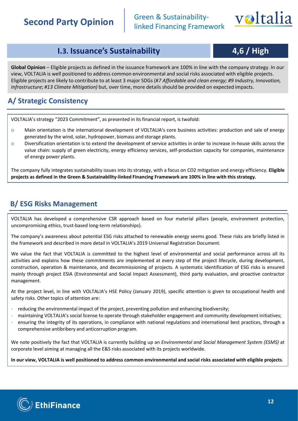Green & Sustainability-<br>linked Financing Framework



**I.3. Issuance's Sustainability 4,6 / High** 

**Global Opinion –** Eligible projects as defined in the issuance framework are 100% in line with the company strategy. In our view, VOLTALIA is well positioned to address common environmental and social risks associated with eligible projects. Eligible projects are likely to contribute to at least 3 major SDGs (#*7 Affordable and clean energy; #9 Industry, Innovation, Infrastructure; #13 Climate Mitigation)* but, over time, more details should be provided on expected impacts.

# **A/ Strategic Consistency**

VOLTALIA's strategy "2023 Commitment", as presented in its financial report, is twofold:

- o Main orientation is the international development of VOLTALIA's core business activities: production and sale of energy generated by the wind, solar, hydropower, biomass and storage plants.
- o Diversification orientation is to extend the development of service activities in order to increase in-house skills across the value chain: supply of green electricity, energy efficiency services, self-production capacity for companies, maintenance of energy power plants.

The company fully integrates sustainability issues into its strategy, with a focus on CO2 mitigation and energy efficiency. **Eligible** projects as defined in the Green & Sustainability-linked Financing Framework are 100% in line with this strategy.

## **B/ ESG Risks Management**

VOLTALIA has developed a comprehensive CSR approach based on four material pillars (people, environment protection, uncompromising ethics, trust-based long-term relationships).

The company's awareness about potential ESG risks attached to renewable energy seems good. These risks are briefly listed in the framework and described in more detail in VOLTALIA's 2019 Universal Registration Document.

We value the fact that VOLTALIA is committed to the highest level of environmental and social performance across all its activities and explains how these commitments are implemented at every step of the project lifecycle, during development, construction, operation & maintenance, and decommissioning of projects. A systematic identification of ESG risks is ensured mainly through project ESIA (Environmental and Social Impact Assessment), third party evaluation, and proactive contractor management.

At the project level, in line with VOLTALIA's HSE Policy (January 2019), specific attention is given to occupational health and safety risks. Other topics of attention are:

- reducing the environmental impact of the project, preventing pollution and enhancing biodiversity;
- maintaining VOLTALIA's social license to operate through stakeholder engagement and community development initiatives;
- ensuring the integrity of its operations, in compliance with national regulations and international best practices, through a comprehensive antibribery and anticorruption program.

We note positively the fact that VOLTALIA is currently building up an *Environmental and Social Management System (ESMS)* at corporate level aiming at managing all the E&S risks associated with its projects worldwide.

In our view. VOLTALIA is well positioned to address common environmental and social risks associated with eligible projects.

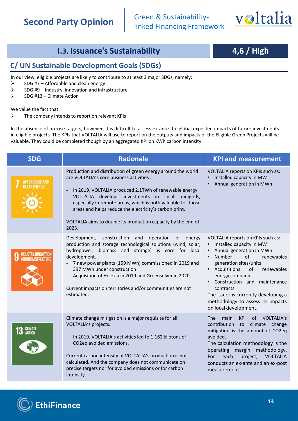Green & Sustainability-<br>linked Financing Framework



# **I.3. Issuance's Sustainability 4,6 / High**

### **C/ UN Sustainable Development Goals (SDGs)**

In our view, eligible projects are likely to contribute to at least 3 major SDGs, namely:

- $\triangleright$  SDG #7 Affordable and clean energy
- $\triangleright$  SDG #9 Industry, innovation and infrastructure
- ➢ SDG #13 Climate Action

We value the fact that:

 $\triangleright$  The company intends to report on relevant KPIs

In the absence of precise targets, however, it is difficult to assess ex-ante the global expected impacts of future investments in eligible projects. The KPIs that VOLTALIA will use to report on the outputs and impacts of the Eligible Green Projects will be valuable. They could be completed though by an aggregated KPI on KWh carbon intensity.

| <b>SDG</b>                                  | <b>Rationale</b>                                                                                                                                                                                                                                                                                                                                                                                                                | <b>KPI and measurement</b>                                                                                                                                                                                                                                                                                                                                       |
|---------------------------------------------|---------------------------------------------------------------------------------------------------------------------------------------------------------------------------------------------------------------------------------------------------------------------------------------------------------------------------------------------------------------------------------------------------------------------------------|------------------------------------------------------------------------------------------------------------------------------------------------------------------------------------------------------------------------------------------------------------------------------------------------------------------------------------------------------------------|
| <b>AFFORDABLE AND</b><br><b>NEAN ENERGY</b> | Production and distribution of green energy around the world<br>are VOLTALIA's core business activities.<br>In 2019, VOLTALIA produced 2.1TWh of renewable energy<br>VOLTALIA develops investments in local minigrids,<br>especially in remote areas, which is both valuable for those<br>areas and helps reduce the electricity's carbon print.<br>VOLTALIA aims to double its production capacity by the end of<br>2023.      | VOLTALIA reports on KPIs such as:<br>Installed capacity in MW<br>Annual generation in MWh                                                                                                                                                                                                                                                                        |
| NDUSTRY. INNOVATIO                          | construction and<br>operation<br>Development,<br>energy<br>of<br>production and storage technological solutions (wind, solar,<br>hydropower, biomass and storage) is core for local<br>development.<br>7 new power plants (159 MWh) commissioned in 2019 and<br>397 MWh under construction<br>Acquisition of Helexia in 2019 and Greensolver in 2020<br>Current impacts on territories and/or communities are not<br>estimated. | VOLTALIA reports on KPIs such as:<br>Installed capacity in MW<br>Annual generation in MWh<br>Number<br>of<br>renewables<br>generation sites/units<br>• Acquisitions<br>renewables<br>οf<br>energy companies<br>• Construction and maintenance<br>contracts<br>The issuer is currently developing a<br>methodology to assess its impacts<br>on local development. |
| <b>CLIMATE</b><br>ACTION                    | Climate change mitigation is a major requisite for all<br>VOLTALIA's projects.<br>In 2019, VOLTALIA's activities led to 1,162 kilotons of<br>CO2eq avoided emissions.<br>Current carbon intensity of VOLTALIA's production is not<br>calculated. And the company does not communicate on<br>precise targets nor for avoided emissions or for carbon<br>intensity.                                                               | The:<br>main<br><b>KPI</b><br>of<br><b>VOLTALIA's</b><br>contribution to climate change<br>mitigation is the amount of CO2eq<br>avoided.<br>The calculation methodology is the<br>operating margin methodology.<br>each<br><b>VOLTALIA</b><br>project,<br>For<br>conducts an ex-ante and an ex-post<br>measurement.                                              |

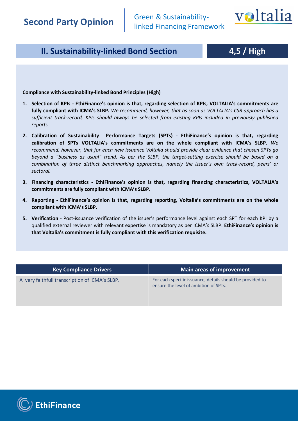

# <span id="page-13-0"></span>**II. Sustainability-linked Bond Section**

# **4,5 / High**

**Compliance with Sustainability-linked Bond Principles (High)**

- **1. Selection of KPIs - EthiFinance's opinion is that, regarding selection of KPIs, VOLTALIA's commitments are fully compliant with ICMA's SLBP.** *We recommend, however, that as soon as VOLTALIA's CSR approach has a sufficient track-record, KPIs should always be selected from existing KPIs included in previously published reports*
- **2. Calibration of Sustainability Performance Targets (SPTs) EthiFinance's opinion is that, regarding calibration of SPTs VOLTALIA's commitments are on the whole compliant with ICMA's SLBP.** *We recommend, however, that for each new issuance Voltalia should provide clear evidence that chosen SPTs go* beyond a "business as usual" trend. As per the SLBP, the target-setting exercise should be based on a *combination of three distinct benchmarking approaches, namely the issuer's own track-record, peers' or sectoral.*
- **3. Financing characteristics - EthiFinance's opinion is that, regarding financing characteristics, VOLTALIA's commitments are fully compliant with ICMA's SLBP.**
- **4. Reporting - EthiFinance's opinion is that, regarding reporting, Voltalia's commitments are on the whole compliant with ICMA's SLBP.**
- **5. Verification** *-* Post-issuance verification of the issuer's performance level against each SPT for each KPI by a qualified external reviewer with relevant expertise is mandatory as per ICMA's SLBP. **EthiFinance's opinion is that Voltalia's commitment is fully compliant with this verification requisite.**

| <b>Key Compliance Drivers</b>                  | Main areas of improvement                                                                          |
|------------------------------------------------|----------------------------------------------------------------------------------------------------|
| A very faithfull transcription of ICMA's SLBP. | For each specific issuance, details should be provided to<br>ensure the level of ambition of SPTs. |

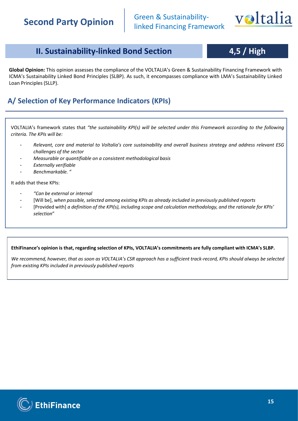

# **II. Sustainability-linked Bond Section 4,5 / High**

### **Global Opinion:** This opinion assesses the compliance of the VOLTALIA's Green & Sustainability Financing Framework with ICMA's Sustainability Linked Bond Principles (SLBP). As such, it encompasses compliance with LMA's Sustainability Linked Loan Principles (SLLP).

### **A/ Selection of Key Performance Indicators (KPIs)**

VOLTALIA's framework states that *"the sustainability KPI(s) will be selected under this Framework according to the following criteria. The KPIs will be:*

- Relevant, core and material to Voltalia's core sustainability and overall business strategy and address relevant ESG *challenges of the sector*
- *Measurable or quantifiable on a consistent methodological basis*
- *Externally verifiable*
- *Benchmarkable. "*

It adds that these KPIs:

- *"Can be external or internal*
- [Will be], *when possible, selected among existing KPIs as already included in previously published reports*
- [Provided with] *a definition of the KPI(s), including scope and calculation methodology, and the rationale for KPIs' selection*"

### **EthiFinance's opinion is that, regarding selection of KPIs, VOLTALIA's commitments are fully compliant with ICMA's SLBP.**

*We recommend, however, that as soon as VOLTALIA's CSR approach has a sufficient track-record, KPIs should always be selected from existing KPIs included in previously published reports*

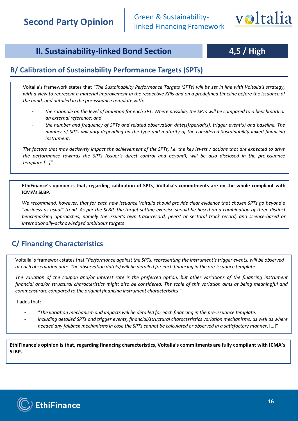

# **II. Sustainability-linked Bond Section 4,5 / High**

### **B/ Calibration of Sustainability Performance Targets (SPTs)**

Voltalia's framework states that "*The Sustainability Performance Targets (SPTs) will be set in line with Voltalia's strategy,* with a view to represent a material improvement in the respective KPIs and on a predefined timeline before the issuance of *the bond, and detailed in the pre-issuance template with:*

- the rationale on the level of ambition for each SPT. Where possible, the SPTs will be compared to a benchmark or *an external reference; and*
- *the number and frequency of SPTs and related observation date(s)/period(s), trigger event(s) and baseline. The number of SPTs will vary depending on the type and maturity of the considered Sustainability-linked financing instrument.*

The factors that may decisively impact the achievement of the SPTs, i.e. the key levers / actions that are expected to drive the performance towards the SPTs (issuer's direct control and beyond), will be also disclosed in the pre-issuance *template.[…]"*

EthiFinance's opinion is that, regarding calibration of SPTs, Voltalia's commitments are on the whole compliant with **ICMA's SLBP.**

We recommend, however, that for each new issuance Voltalia should provide clear evidence that chosen SPTs go beyond a "business as usual" trend. As per the SLBP, the target-setting exercise should be based on a combination of three distinct *benchmarking approaches, namely the issuer's own track-record, peers' or sectoral track record, and science-based or internationally-acknowledged ambitious targets*

## **C/ Financing Characteristics**

Voltalia' s framework states that "*Performance against the SPTs, representing the instrument's trigger events, will be observed at each observation date. The observation date(s) will be detailed for each financing in the pre-issuance template.*

The variation of the coupon and/or interest rate is the preferred option, but other variations of the financing instrument financial and/or structural characteristics might also be considered. The scale of this variation aims at being meaningful and *commensurate compared to the original financing instrument characteristics*."

It adds that:

- *"The variation mechanism and impacts will be detailed for each financing in the pre-issuance template,*
- *including detailed SPTs and trigger events, financial/structural characteristics variation mechanisms, as well as where needed any fallback mechanismsin case the SPTs cannot be calculated or observed in a satisfactory manner*, […]"

**EthiFinance's opinion is that, regarding financing characteristics, Voltalia's commitments are fully compliant with ICMA's SLBP.**

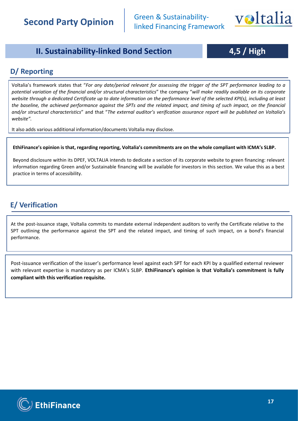

## **II. Sustainability-linked Bond Section 4,5 / High**

### **D/ Reporting**

Voltalia's framework states that "For any date/period relevant for assessing the trigger of the SPT performance leading to a potential variation of the financial and/or structural characteristics" the company "will make readily available on its corporate website through a dedicated Certificate up to date information on the performance level of the selected KPI(s), including at least the baseline, the achieved performance against the SPTs and the related impact, and timing of such impact, on the financial and/or structural characteristics" and that "The external auditor's verification assurance report will be published on Voltalia's *website".*

It also adds various additional information/documents Voltalia may disclose.

### EthiFinance's opinion is that, regarding reporting, Voltalia's commitments are on the whole compliant with ICMA's SLBP.

Beyond disclosure within its DPEF, VOLTALIA intends to dedicate a section of its corporate website to green financing: relevant information regarding Green and/or Sustainable financing will be available for investors in this section. We value this as a best practice in terms of accessibility.

### **E/ Verification**

At the post-issuance stage, Voltalia commits to mandate external independent auditors to verify the Certificate relative to the SPT outlining the performance against the SPT and the related impact, and timing of such impact, on a bond's financial performance.

Post-issuance verification of the issuer's performance level against each SPT for each KPI by a qualified external reviewer with relevant expertise is mandatory as per ICMA's SLBP. **EthiFinance's opinion is that Voltalia's commitment is fully compliant with this verification requisite.**